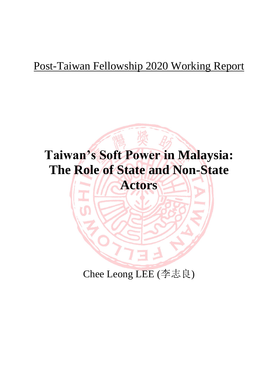# Post-Taiwan Fellowship 2020 Working Report



Chee Leong LEE (李志良)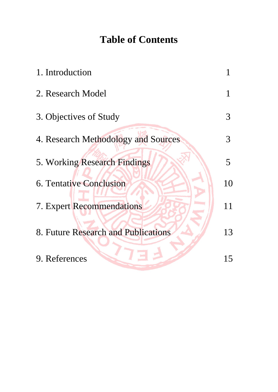# **Table of Contents**

| 1. Introduction                     |    |
|-------------------------------------|----|
| 2. Research Model                   |    |
| 3. Objectives of Study              | 3  |
| 4. Research Methodology and Sources | 3  |
| 5. Working Research Findings        | 5  |
| <b>6. Tentative Conclusion</b>      | 10 |
| 7. Expert Recommendations           | 11 |
| 8. Future Research and Publications | 13 |
| 9. References                       | 15 |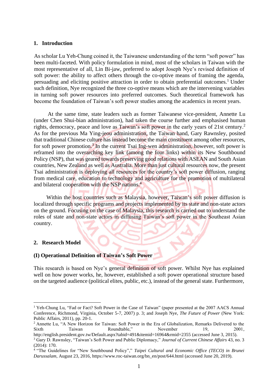#### **1. Introduction**

As scholar Lu Yeh-Chung coined it, the Taiwanese understanding of the term "soft power" has been multi-faceted. With policy formulation in mind, most of the scholars in Taiwan with the most representative of all, Lin Bi-jaw, preferred to adopt Joseph Nye's revised definition of soft power: the ability to affect others through the co-optive means of framing the agenda, persuading and eliciting positive attraction in order to obtain preferential outcomes.<sup>1</sup> Under such definition, Nye recognized the three co-optive means which are the intervening variables in turning soft power resources into preferred outcomes. Such theoretical framework has become the foundation of Taiwan's soft power studies among the academics in recent years.

 At the same time, state leaders such as former Taiwanese vice-president, Annette Lu (under Chen Shui-bian administration), had taken the course further and emphasised human rights, democracy, peace and love as Taiwan's soft power in the early years of 21st century.<sup>2</sup> As for the previous Ma Ying-jeou administration, the Taiwan hand, Gary Rawnsley, posited that traditional Chinese culture has instead become the main constituent among other resources, for soft power promotion.<sup>3</sup> In the current Tsai Ing-wen administration, however, soft power is reframed into the overarching key link (among the four links) within its New Southbound Policy (NSP), that was geared towards preserving good relations with ASEAN and South Asian countries, New Zealand as well as Australia. More than just cultural resources now, the present Tsai administration is deploying all resources for the country's soft power diffusion, ranging from medical care, education to technology and agriculture for the promotion of multilateral and bilateral cooperation with the NSP nations.<sup>4</sup>

 Within the host countries such as Malaysia, however, Taiwan's soft power diffusion is localized through specific programs and projects implemented by its state and non-state actors on the ground. Focusing on the case of Malaysia, this research is carried out to understand the roles of state and non-state actors in diffusing Taiwan's soft power in the Southeast Asian country.

## **2. Research Model**

#### **(I) Operational Definition of Taiwan's Soft Power**

This research is based on Nye's general definition of soft power. Whilst Nye has explained well on how power works, he, however, established a soft power operational structure based on the targeted audience (political elites, public, etc.), instead of the general state. Furthermore,

<sup>&</sup>lt;sup>1</sup> Yeh-Chung Lu, "Fad or Fact? Soft Power in the Case of Taiwan" (paper presented at the 2007 AACS Annual Conference, Richmond, Virginia, October 5-7, 2007) p. 3; and Joseph Nye, *The Future of Power* (New York: Public Affairs, 2011), pp. 20-1.

<sup>&</sup>lt;sup>2</sup> Annette Lu, "A New Horizon for Taiwan: Soft Power in the Era of Globalization, Remarks Delivered to the Sixth Taiwan Roundtable," November 19, 2001,

<http://english.president.gov.tw/Default.aspx?tabid=491&itemid=16964&rmid=2355> (accessed June 3, 2015). <sup>3</sup> Gary D. Rawnsley, "Taiwan's Soft Power and Public Diplomacy," *Journal of Current Chinese Affairs* 43, no. 3 (2014): 170.

<sup>&</sup>lt;sup>4</sup> "The Guidelines for "New Southbound Policy"," *Taipei Cultural and Economic Office (TECO) in Brunei Darussalam*, August 23, 2016, [https://www.roc-taiwan.org/bn\\_en/post/644.html](https://www.roc-taiwan.org/bn_en/post/644.html) (accessed June 20, 2019).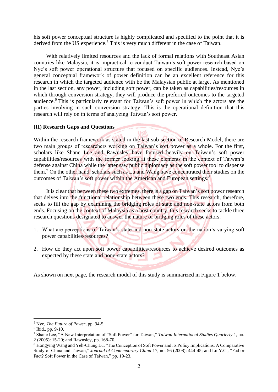his soft power conceptual structure is highly complicated and specified to the point that it is derived from the US experience.<sup>5</sup> This is very much different in the case of Taiwan.

 With relatively limited resources and the lack of formal relations with Southeast Asian countries like Malaysia, it is impractical to conduct Taiwan's soft power research based on Nye's soft power operational structure that focused on specific audiences. Instead, Nye's general conceptual framework of power definition can be an excellent reference for this research in which the targeted audience with be the Malaysian public at large. As mentioned in the last section, any power, including soft power, can be taken as capabilities/resources in which through conversion strategy, they will produce the preferred outcomes to the targeted audience. <sup>6</sup> This is particularly relevant for Taiwan's soft power in which the actors are the parties involving in such conversion strategy. This is the operational definition that this research will rely on in terms of analyzing Taiwan's soft power.

#### **(II) Research Gaps and Questions**

Within the research framework as stated in the last sub-section of Research Model, there are two main groups of researchers working on Taiwan's soft power as a whole. For the first, scholars like Shane Lee and Rawnsley have focused heavily on Taiwan's soft power capabilities/resources with the former looking at these elements in the context of Taiwan's defense against China while the latter saw public diplomacy as the soft power tool to dispense them.<sup>7</sup> On the other hand, scholars such as Lu and Wang have concentrated their studies on the outcomes of Taiwan's soft power within the American and European settings.<sup>8</sup>

 It is clear that between these two extremes, there is a gap on Taiwan's soft power research that delves into the functional relationship between these two ends. This research, therefore, seeks to fill the gap by examining the bridging roles of state and non-state actors from both ends. Focusing on the context of Malaysia as a host country, this research seeks to tackle three research questions designated to answer the nature of bridging roles of these actors:

- 1. What are perceptions of Taiwan's state and non-state actors on the nation's varying soft power capabilities/resources?
- 2. How do they act upon soft power capabilities/resources to achieve desired outcomes as expected by these state and none-state actors?

As shown on next page, the research model of this study is summarized in Figure 1 below.

<sup>5</sup> Nye, *The Future of Power*, pp. 94-5.

<sup>6</sup> Ibid., pp. 9-10.

<sup>7</sup> Shane Lee, "A New Interpretation of "Soft Power" for Taiwan," *Taiwan International Studies Quarterly* 1, no. 2 (2005): 15-20; and Rawnsley, pp. 168-70.

<sup>8</sup> Hongying Wang and Yeh-Chung Lu, "The Conception of Soft Power and its Policy Implications: A Comparative Study of China and Taiwan," *Journal of Contemporary China* 17, no. 56 (2008): 444-45; and Lu Y.C., "Fad or Fact? Soft Power in the Case of Taiwan," pp. 19-23.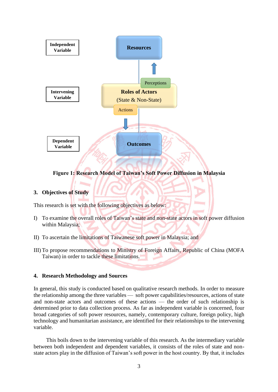

**Figure 1: Research Model of Taiwan's Soft Power Diffusion in Malaysia**

## **3. Objectives of Study**

This research is set with the following objectives as below:

- I) To examine the overall roles of Taiwan's state and non-state actors in soft power diffusion within Malaysia;
- II) To ascertain the limitations of Taiwanese soft power in Malaysia; and
- III) To propose recommendations to Ministry of Foreign Affairs, Republic of China (MOFA Taiwan) in order to tackle these limitations.

#### **4. Research Methodology and Sources**

In general, this study is conducted based on qualitative research methods. In order to measure the relationship among the three variables — soft power capabilities/resources, actions of state and non-state actors and outcomes of these actions — the order of such relationship is determined prior to data collection process. As far as independent variable is concerned, four broad categories of soft power resources, namely, contemporary culture, foreign policy, high technology and humanitarian assistance, are identified for their relationships to the intervening variable.

 This boils down to the intervening variable of this research. As the intermediary variable between both independent and dependent variables, it consists of the roles of state and nonstate actors play in the diffusion of Taiwan's soft power in the host country. By that, it includes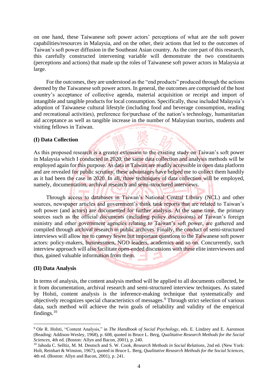on one hand, these Taiwanese soft power actors' perceptions of what are the soft power capabilities/resources in Malaysia, and on the other, their actions that led to the outcomes of Taiwan's soft power diffusion in the Southeast Asian country. As the core part of this research, this carefully constructed intervening variable will demonstrate the two constituents (perceptions and actions) that made up the roles of Taiwanese soft power actors in Malaysia at large.

 For the outcomes, they are understood as the "end products" produced through the actions deemed by the Taiwanese soft power actors. In general, the outcomes are comprised of the host country's acceptance of collective agenda, material acquisition or receipt and import of intangible and tangible products for local consumption. Specifically, these included Malaysia's adoption of Taiwanese cultural lifestyle (including food and beverage consumption, reading and recreational activities), preference for/purchase of the nation's technology, humanitarian aid acceptance as well as tangible increase in the number of Malaysian tourists, students and visiting fellows in Taiwan.

## **(I) Data Collection**

As this proposed research is a greater extension to the existing study on Taiwan's soft power in Malaysia which I conducted in 2020, the same data collection and analysis methods will be employed again for this purpose. As data in Taiwan are readily accessible in open data platform and are revealed for public scrutiny, these advantages have helped me to collect them handily as it had been the case in 2020. In all, three techniques of data collection will be employed, namely, documentation, archival research and semi-structured interviews.

 Through access to databases in Taiwan's National Central Library (NCL) and other sources, newspaper articles and government's think tank reports that are related to Taiwan's soft power (and actors) are documented for further analysis. At the same time, the primary sources such as the official documents (including policy discussions) of Taiwan's foreign ministry and other government agencies relating to Taiwan's soft power, are gathered and compiled through archival research in public archives. Finally, the conduct of semi-structured interviews will allow me to convey fewer but important questions to the Taiwanese soft power actors: policy-makers, businessmen, NGO leaders, academics and so on. Concurrently, such interview approach will also facilitate open-ended discussions with these elite interviewees and thus, gained valuable information from them.

#### **(II) Data Analysis**

In terms of analysis, the content analysis method will be applied to all documents collected, be it from documentation, archival research and semi-structured interview techniques. As stated by Holsti, content analysis is the inference-making technique that systematically and objectively recognizes special characteristics of messages.<sup>9</sup> Through strict selection of various data, such method will achieve the twin goals of reliability and validity of the empirical findings.<sup>10</sup>

<sup>9</sup> Ole R. Holsti, "Content Analysis," in *The Handbook of Social Psychology*, eds. E. Lindzey and E. Aaronson (Reading: Addison-Wesley, 1968), p. 608, quoted in Bruce L. Berg, *Qualitative Research Methods for the Social Sciences*, 4th ed. (Boston: Allyn and Bacon, 2001), p. 240.

<sup>10</sup> Jahoda C. Selltiz, M. M. Deutsch and S. W. Cook, *Research Methods in Social Relations*, 2nd ed. (New York: Holt, Reinhart & Winston, 1967), quoted in Bruce L. Berg, *Qualitative Research Methods for the Social Sciences*, 4th ed. (Boston: Allyn and Bacon, 2001), p. 241.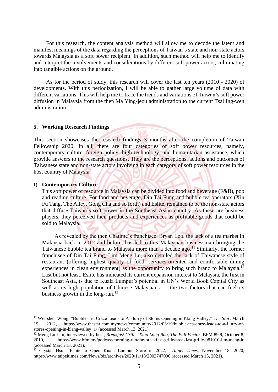For this research, the content analysis method will allow me to decode the latent and manifest meanings of the data regarding the perceptions of Taiwan's state and non-state actors towards Malaysia as a soft power recipient. In addition, such method will help me to identify and interpret the involvements and considerations by different soft power actors, culminating into tangible actions on the ground.

 As for the period of study, this research will cover the last ten years (2010 - 2020) of developments. With this periodization, I will be able to gather large volume of data with different variations. This will help me to trace the trends and variations of Taiwan's soft power diffusion in Malaysia from the then Ma Ying-jeou administration to the current Tsai Ing-wen administration.

#### **5. Working Research Findings**

This section showcases the research findings 3 months after the completion of Taiwan Fellowship 2020. In all, there are four categories of soft power resources, namely, contemporary culture, foreign policy, high technology, and humanitarian assistance, which provide answers to the research questions. They are the perceptions, actions and outcomes of Taiwanese state and non-state actors involving in each category of soft power resources in the host country of Malaysia.

 $11<0$ 

#### I) **Contemporary Culture**

This soft power of resource in Malaysia can be divided into food and beverage (F&B), pop and reading culture. For food and beverage, Din Tai Fung and bubble tea operators (Xin Fu Tang, The Alley, Gong Cha and so forth) and Eslite, remained to be the non-state actors that diffuse Taiwan's soft power in the Southeast Asian country. As these are business players, they perceived their products and experiences as profitable goods that could be sold to Malaysia.

 As revealed by the then Chatime's franchisee, Bryan Loo, the lack of a tea market in Malaysia back in 2012 and before, has led to this Malaysian businessman bringing the Taiwanese bubble tea brand to Malaysia more than a decade ago.<sup>11</sup> Similarly, the former franchisee of Din Tai Fung, Lim Meng Lu, also detailed the lack of Taiwanese style of restaurant (offering highest quality of food, services-oriented and comfortable dining experiences in clean environment) as the opportunity to bring such brand to Malaysia.<sup>12</sup> Last but not least, Eslite has indicated its current expansion interest to Malaysia, the first in Southeast Asia, is due to Kuala Lumpur's potential in UN's World Book Capital City as well as its high population of Chinese Malaysians — the two factors that can fuel its business growth in the long-run.<sup>13</sup>

<sup>11</sup> Wei-shen Wong, "Bubble Tea Craze Leads to A Flurry of Stores Opening in Klang Valley," *The Star*, March 19, 2012, [https://www.thestar.com.my/news/community/2012/03/19/bubble-tea-craze-leads-to-a-flurry-of](https://www.thestar.com.my/news/community/2012/03/19/bubble-tea-craze-leads-to-a-flurry-of-stores-opening-in-klang-valley_1/)[stores-opening-in-klang-valley\\_1/](https://www.thestar.com.my/news/community/2012/03/19/bubble-tea-craze-leads-to-a-flurry-of-stores-opening-in-klang-valley_1/) (accessed March 13, 2021).

<sup>12</sup> Meng Lu Lim, interviewed by host, *Breakfast Grill – Xiao Long Bao, The Pull Factor*, BFM 89.9, October 8, 2010, <https://www.bfm.my/podcast/morning-run/the-breakfast-grille/breakfast-grille-081010-lim-meng-lu> (accessed March 13, 2021).

<sup>13</sup> Crystal Hsu, "Eslite to Open Kuala Lumpur Store in 2022," *Taipei Times*, November 18, 2020, <https://www.taipeitimes.com/News/biz/archives/2020/11/18/2003747090> (accessed March 13, 2021).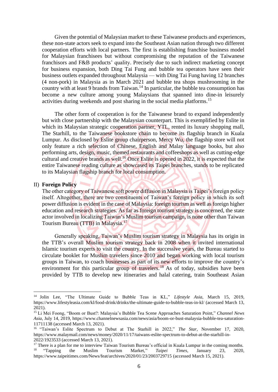Given the potential of Malaysian market to these Taiwanese products and experiences, these non-state actors seek to expand into the Southeast Asian nation through two different cooperation efforts with local partners. The first is establishing franchise business model for Malaysian franchisees but without compromising the reputation of the Taiwanese franchisors and F&B products' quality. Precisely due to such indirect marketing concept for business expansion, both Ding Tai Fung and bubble tea operators have seen their business outlets expanded throughout Malaysia ⸺ with Ding Tai Fung having 12 branches (4 non-pork) in Malaysia as in March 2021 and bubble tea shops mushrooming in the country with at least 9 brands from Taiwan.<sup>14</sup> In particular, the bubble tea consumption has become a new culture among young Malaysians that spanned into dine-in leisurely activities during weekends and post sharing in the social media platforms. 15

 The other form of cooperation is for the Taiwanese brand to expand independently but with close partnership with the Malaysian counterpart. This is exemplified by Eslite in which its Malaysian strategic cooperation partner, YTL, rented its luxury shopping mall, The Starhill, to the Taiwanese bookstore chain to become its flagship branch in Kuala Lumpur. As disclosed by Eslite group chairperson, Mercy Wu, the flagship store will not only feature a rich selection of Chinese, English and Malay language books, but also performing arts, design, music, themed restaurants and coffeeshops as well as cutting-edge cultural and creative brands as well.<sup>16</sup> Once Eslite is opened in 2022, it is expected that the entire Taiwanese reading culture as showcased its Taipei branches, stands to be replicated to its Malaysian flagship branch for local consumption.

## II) **Foreign Policy**

The other category of Taiwanese soft power diffusion in Malaysia is Taipei's foreign policy itself. Altogether, there are two constituents of Taiwan's foreign policy in which its soft power diffusion is evident in the case of Malaysia: foreign tourism as well as foreign higher education and research strategies. As far as foreign tourism strategy is concerned, the state actor involved in localizing Taiwan's Muslim tourism campaign, is none other than Taiwan Tourism Bureau (TTB) in Malaysia.<sup>17</sup>

 Generally speaking, Taiwan's Muslim tourism strategy in Malaysia has its origin in the TTB's overall Muslim tourism strategy back in 2008 when it invited international Islamic tourism experts to visit the country. In the successive years, the Bureau started to circulate booklet for Muslim travelers since 2010 and began working with local tourism groups in Taiwan, to coach businesses as part of its new efforts to improve the country's environment for this particular group of travelers.<sup>18</sup> As of today, subsidies have been provided by TTB to develop new itineraries and halal catering, train Southeast Asian

<sup>14</sup> Jolin Lee, "The Ultimate Guide to Bubble Teas in KL," *Lifestyle Asia*, March 15, 2019, https://www.lifestyleasia.com/kl/food-drink/drinks/the-ultimate-guide-to-bubble-teas-in-kl/ (accessed March 13, 2021).

<sup>15</sup> Li Mei Foong, "Boom or Bust?: Malaysia's Bubble Tea Scene Approaches Saturation Point," *Channel News Asia*, July 14, 2019, [https://www.channelnewsasia.com/news/asia/boom-or-bust-malaysia-bubble-tea-saturation-](https://www.channelnewsasia.com/news/asia/boom-or-bust-malaysia-bubble-tea-saturation-11711138)[11711138](https://www.channelnewsasia.com/news/asia/boom-or-bust-malaysia-bubble-tea-saturation-11711138) (accessed March 13, 2021).

<sup>16</sup> "Taiwan's Eslite Spectrum to Debut at The Starhill in 2022," *The Star*, November 17, 2020, https://www.malaymail.com/news/money/2020/11/17/taiwans-eslite-spectrum-to-debut-at-the-starhill-in-2022/1923533 (accessed March 13, 2021).

<sup>&</sup>lt;sup>17</sup> There is a plan for me to interview Taiwan Tourism Bureau's official in Kuala Lumpur in the coming months.<br><sup>18</sup> "Tapping the Muslim Tourism Market," *Taipei Times*, January 23. 2020. 18 "Tapping the Muslim Tourism Market," *Taipei Times*, January 23, 2020, <https://www.taipeitimes.com/News/feat/archives/2020/01/23/2003729715> (accessed March 15, 2021).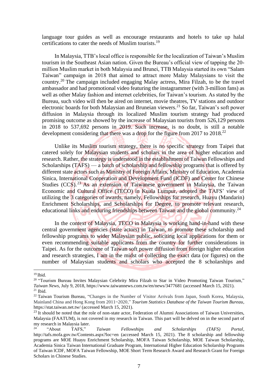language tour guides as well as encourage restaurants and hotels to take up halal certifications to cater the needs of Muslim tourists.<sup>19</sup>

 In Malaysia, TTB's local office is responsible for the localization of Taiwan's Muslim tourism in the Southeast Asian nation. Given the Bureau's official view of tapping the 20 million Muslim market in both Malaysia and Brunei, TTB Malaysia started its own "Salam Taiwan" campaign in 2018 that aimed to attract more Malay Malaysians to visit the country.<sup>20</sup> The campaign included engaging Malay actress, Mira Filzah, to be the travel ambassador and had promotional video featuring the instagrammer (with 3-million fans) as well as other Malay fashion and internet celebrities, for Taiwan's tourism. As stated by the Bureau, such video will then be aired on internet, movie theatres, TV stations and outdoor electronic boards for both Malaysian and Bruneian viewers. <sup>21</sup> So far, Taiwan's soft power diffusion in Malaysia through its localized Muslim tourism strategy had produced promising outcome as showed by the increase of Malaysian tourists from 526,129 persons in 2018 to 537,692 persons in 2019. Such increase, is no doubt, is still a notable development considering that there was a drop for the figure from 2017 to 2018.<sup>22</sup>

 Unlike its Muslim tourism strategy, there is no specific strategy from Taipei that catered solely for Malaysian students and scholars in the area of higher education and research. Rather, the strategy is understood in the establishment of Taiwan Fellowships and Scholarships  $(TAFS)$  — a batch of scholarship and fellowship programs that is offered by different state actors such as Ministry of Foreign Affairs, Ministry of Education, Academia Sinica, International Cooperation and Development Fund (ICDF) and Center for Chinese Studies (CCS).<sup>23</sup> As an extension of Taiwanese government in Malaysia, the Taiwan Economic and Cultural Office (TECO) in Kuala Lumpur, adopted the TAFS' view of utilizing the 3 categories of awards, namely, Fellowships for research, Huayu (Mandarin) Enrichment Scholarships, and Scholarships for Degree, to promote relevant research, educational links and enduring friendships between Taiwan and the global community.<sup>24</sup>

 In the context of Malaysia, TECO in Malaysia is working hand-in-hand with these central government agencies (state actors) in Taiwan, to promote these scholarship and fellowship programs to wider Malaysian public, soliciting local applications for them or even recommending suitable applicants from the country for further considerations in Taipei. As for the outcome of Taiwan soft power diffusion from foreign higher education and research strategies, I am in the midst of collecting the exact data (or figures) on the number of Malaysian students and scholars who accepted the 8 scholarships and

 $19$  Ibid.

<sup>&</sup>lt;sup>20</sup> "Tourism Bureau Invites Malaysian Celebrity Mira Filzah to Star in Video Promoting Taiwan Tourism," *Taiwan News*, July 9, 2018, <https://www.taiwannews.com.tw/en/news/3477681> (accessed March 15, 2021).  $21$  Ibid.

<sup>&</sup>lt;sup>22</sup> Taiwan Tourism Bureau, "Changes in the Number of Visitor Arrivals from Japan, South Korea, Malaysia, Mainland China and Hong Kong from 2011~2020," *Tourism Statistics Database of the Taiwan Tourism Bureau*, https://stat.taiwan.net.tw/ (accessed March 15, 2021).

<sup>&</sup>lt;sup>23</sup> It should be noted that the role of non-state actor, Federation of Alumni Associations of Taiwan Universities, Malaysia (FAATUM), is not covered in my research in Taiwan. This part will be delved on in the second part of my research in Malaysia later.

<sup>24</sup> "About TAFS," *Taiwan Fellowships and Scholarships (TAFS) Portal*, http://tafs.mofa.gov.tw/Contents.aspx?loc=en (accessed March 15, 2021). The 8 scholarship and fellowship programs are [MOE Huayu Enrichment Scholarship,](http://tafs.mofa.gov.tw/SchDetailed.aspx?loc=en&ItemId=17) MOFA Taiwan Scholarship, MOE Taiwan Scholarship, Academia Sinica Taiwan International Graduate Program, [International Higher Education Scholarship Programs](http://tafs.mofa.gov.tw/SchDetailed.aspx?loc=en&ItemId=13)  [of Taiwan lCDF,](http://tafs.mofa.gov.tw/SchDetailed.aspx?loc=en&ItemId=13) MOFA Taiwan Fellowship, MOE Short Term Research Award and Research Grant for Foreign Scholars in Chinese Studies.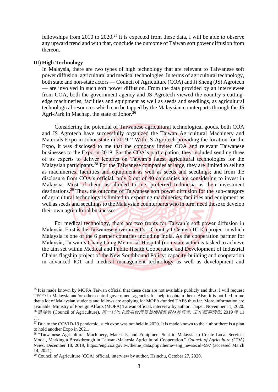fellowships from 2010 to  $2020$ .<sup>25</sup> It is expected from these data, I will be able to observe any upward trend and with that, conclude the outcome of Taiwan soft power diffusion from thereon.

#### III) **High Technology**

In Malaysia, there are two types of high technology that are relevant to Taiwanese soft power diffusion: agricultural and medical technologies. In terms of agricultural technology, both state and non-state actors — Council of Agriculture (COA) and Ji Sheng (JS) Agrotech ⸺ are involved in such soft power diffusion. From the data provided by an interviewee from COA, both the government agency and JS Agrotech viewed the country's cuttingedge machineries, facilities and equipment as well as seeds and seedlings, as agricultural technological resources which can be tapped by the Malaysian counterparts through the JS Agri-Park in Machap, the state of Johor.<sup>26</sup>

 Considering the potential of Taiwanese agricultural technological goods, both COA and JS Agrotech have successfully organized the Taiwan Agricultural Machinery and Materials Expo in Johor state in 2019.<sup>27</sup> With JS Agrotech providing the location for the Expo, it was disclosed to me that the company invited COA and relevant Taiwanese businesses to the Expo in 2019. For the COA's participation, they included sending three of its experts to deliver lectures on Taiwan's latest agricultural technologies for the Malaysian participants.<sup>28</sup> For the Taiwanese companies at large, they are limited to selling as machineries, facilities and equipment as well as seeds and seedlings; and from the disclosure from COA's official, only 2 out of 40 companies are considering to invest in Malaysia. Most of them, as alluded to me, preferred Indonesia as their investment destinations.<sup>29</sup> Thus, the outcome of Taiwanese soft power diffusion for the sub-category of agricultural technology is limited to exporting machineries, facilities and equipment as well as seeds and seedlings to the Malaysian counterparts who in turn, need these to develop their own agricultural businesses.

 For medical technology, there are two fronts for Taiwan's soft power diffusion in Malaysia. First is the Taiwanese government's 1 Country 1 Center (1C1C) project in which Malaysia is one of the 6 partner countries including India. As the cooperation partner for Malaysia, Taiwan's Chang Gung Memorial Hospital (non-state actor) is tasked to achieve the aim set within Medical and Public Health Cooperation and Development of Industrial Chains flagship project of the New Southbound Policy: capacity-building and cooperation in advanced ICT and medical management technology as well as development and

<sup>&</sup>lt;sup>25</sup> It is made known by MOFA Taiwan official that these data are not available publicly and thus, I will request TECO in Malaysia and/or other central government agencies for help to obtain them. Also, it is notified to me that a lot of Malaysian students and fellows are applying for MOFA-funded TAFS thus far. More information are available: Ministry of Foreign Affairs (MOFA) Taiwan official, interview by author, Taipei, November 11, 2020. <sup>26</sup> 農委會 (Council of Agriculture), 第一屆馬來西亞台灣農業機械暨資材發售會*:* 工作細部情況, 2019 年 11

月.

<sup>&</sup>lt;sup>27</sup> Due to the COVID-19 pandemic, such expo was not held in 2020. It is made known to the author there is a plan to hold another Expo in 2021.

<sup>&</sup>lt;sup>28</sup> "Taiwanese Agricultural Machinery, Materials, and Equipment Sent to Malaysia to Create Local Services Model, Marking a Breakthrough in Taiwan-Malaysia Agricultural Cooperation," *Council of Agriculture (COA) News*, December 18, 2019, https://eng.coa.gov.tw/theme\_data.php?theme=eng\_news&id=597 (accessed March 14, 2021).

 $29$  Council of Agriculture (COA) official, interview by author, Hsinchu, October 27, 2020.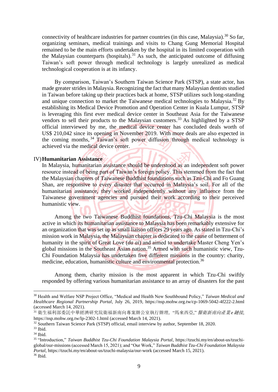connectivity of healthcare industries for partner countries (in this case, Malaysia).<sup>30</sup> So far, organizing seminars, medical trainings and visits to Chang Gung Memorial Hospital remained to be the main efforts undertaken by the hospital in its limited cooperation with the Malaysian counterparts (hospitals).<sup>31</sup> As such, the anticipated outcome of diffusing Taiwan's soft power through medical technology is largely unrealized as medical technological cooperation is at its infancy.

 By comparison, Taiwan's Southern Taiwan Science Park (STSP), a state actor, has made greater strides in Malaysia. Recognizing the fact that many Malaysian dentists studied in Taiwan before taking up their practices back at home, STSP utilizes such long-standing and unique connection to market the Taiwanese medical technologies to Malaysia.<sup>32</sup> By establishing its Medical Device Promotion and Operation Center in Kuala Lumpur, STSP is leveraging this first ever medical device center in Southeast Asia for the Taiwanese vendors to sell their products to the Malaysian customers.<sup>33</sup> As highlighted by a STSP official interviewed by me, the medical device center has concluded deals worth of US\$ 210,042 since its opening in November 2019. With more deals are also expected in the coming months, <sup>34</sup> Taiwan's soft power diffusion through medical technology is achieved via the medical device center.

#### IV)**Humanitarian Assistance**

In Malaysia, humanitarian assistance should be understood as an independent soft power resource instead of being part of Taiwan's foreign policy. This stemmed from the fact that the Malaysian chapters of Taiwanese Buddhist foundations such as Tzu-Chi and Fo Guang Shan, are responsive to every disaster that occurred in Malaysia's soil. For all of the humanitarian assistance, they worked independently without any influence from the Taiwanese government agencies and pursued their work according to their perceived humanistic view.

 Among the two Taiwanese Buddhist foundations, Tzu-Chi Malaysia is the most active in which its humanitarian assistance to Malaysia has been remarkably extensive for an organization that was set up as small liaison offices 29 years ago. As stated in Tzu-Chi's mission work in Malaysia, the Malaysian chapter is dedicated to the cause of betterment of humanity in the spirit of Great Love (*da ai*) and aimed to undertake Master Cheng Yen's global missions in the Southeast Asian nation.<sup>35</sup> Armed with such humanistic view, Tzu-Chi Foundation Malaysia has undertaken five different missions in the country: charity, medicine, education, humanistic culture and environmental protection.<sup>36</sup>

 Among them, charity mission is the most apparent in which Tzu-Chi swiftly responded by offering various humanitarian assistance to an array of disasters for the past

<sup>30</sup> Health and Welfare NSP Project Office, "Medical and Health New Southbound Policy," *Taiwan Medical and Healthcare Regional Partnership Portal*, July 26, 2019,<https://nsp.mohw.org.tw/cp-1069-5042-4f222-2.html> (accessed March 14, 2021).

<sup>31</sup> 衛生福利部委託中華經濟研究院衛福新南向專案辦公室執行辦理, "馬來西亞," 醫衛新南向產業 *e*鏈接, <https://nsp.mohw.org.tw/lp-2302-1.html> (accessed March 14, 2021).

<sup>32</sup> Southern Taiwan Science Park (STSP) official, email interview by author, September 18, 2020.

<sup>33</sup> Ibid.

<sup>34</sup> Ibid.

<sup>35</sup> "Introduction," *Taiwan Buddhist Tzu-Chi Foundation Malaysia Portal*, [https://tzuchi.my/en/about-us/tzuchi](https://tzuchi.my/en/about-us/tzuchi-global/our-missions)[global/our-missions\(](https://tzuchi.my/en/about-us/tzuchi-global/our-missions)accessed March 15, 2021); and "Our Work," *Taiwan Buddhist Tzu-Chi Foundation Malaysia Portal*[, https://tzuchi.my/en/about-us/tzuchi-malaysia/our-work](https://tzuchi.my/en/about-us/tzuchi-malaysia/our-work) (accessed March 15, 2021). <sup>36</sup> Ibid.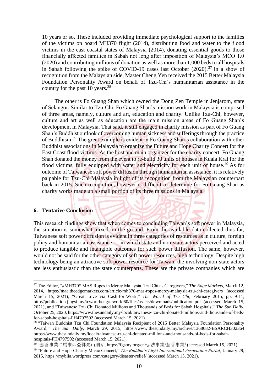10 years or so. These included providing immediate psychological support to the families of the victims on board MH370 flight (2014), distributing food and water to the flood victims in the east coastal states of Malaysia (2014), donating essential goods to those financially affected families in Sabah not long after imposition of Malaysia's MCO 1.0 (2020) and contributing millions of donation as well as more than 1,000 beds to all hospitals in Sabah following the spike of COVID-19 cases last October  $(2020)$ .<sup>37</sup> In a show of recognition from the Malaysian side, Master Cheng Yen received the 2015 Better Malaysia Foundation Personality Award on behalf of Tzu-Chi's humanitarian assistance in the country for the past 10 years.<sup>38</sup>

 The other is Fo Guang Shan which owned the Dong Zen Temple in Jenjarom, state of Selangor. Similar to Tzu-Chi, Fo Guang Shan's mission work in Malaysia is comprised of three areas, namely, culture and art, education and charity. Unlike Tzu-Chi, however, culture and art as well as education are the main mission areas of Fo Guang Shan's development in Malaysia. That said, it still engaged in charity mission as part of Fo Guang Shan's Buddhist outlook of overcoming human sickness and sufferings through the practice of Buddhism.<sup>39</sup> The great example is evident in Fo Guang Shan's collaboration with other Buddhist associations in Malaysia to organize the Future and Hope Charity Concert for the East Coast flood victims. As the host and main organizer for the charity concert, Fo Guang Shan donated the money from the event to re-build 30 units of houses in Kuala Krai for the flood victims, fully equipped with water and electricity for each unit of house.<sup>40</sup> As for outcome of Taiwanese soft power diffusion through humanitarian assistance, it is relatively palpable for Tzu-Chi Malaysia in light of its recognition from the Malaysian counterpart back in 2015. Such recognition, however is difficult to determine for Fo Guang Shan as charity works made up a small portion of its three missions in Malaysia.

#### **6. Tentative Conclusion**

This research findings show that when comes to concluding Taiwan's soft power in Malaysia, the situation is somewhat mixed on the ground. From the available data collected thus far, Taiwanese soft power diffusion is evident in three categories of resources as in culture, foreign policy and humanitarian assistance — in which state and non-state actors perceived and acted to produce tangible and intangible outcomes for such power diffusion. The same, however, would not be said for the other category of soft power resources, high technology. Despite high technology being an attractive soft power resource for Taiwan, the involving non-state actors are less enthusiastic than the state counterparts. These are the private companies which are

<sup>37</sup> The Editor, "#MH370\* MAS Ropes in Mercy Malaysia, Tzu Chi as Caregivers," *The Edge Markets*, March 12, 2014, <https://maa.theedgemarkets.com/article/mh370-mas-ropes-mercy-malaysia-tzu-chi-caregivers> (accessed March 15, 2021); "Great Love via Cash-for-Work," *The World of Tzu Chi*, February 2015, pp. 9-11, http://publication.jingsi.my/tcworld/eng/tcworld60/files/assets/downloads/publication.pdf (accessed March 15, 2021); and "Taiwanese Tzu Chi Donated Millions and Thousands of Beds for Sabah Hospitals," *The Sun Daily*, October 25, 2020[, https://www.thesundaily.my/local/taiwanese-tzu-chi-donated-millions-and-thousands-of-beds](https://www.thesundaily.my/local/taiwanese-tzu-chi-donated-millions-and-thousands-of-beds-for-sabah-hospitals-FH4797502)[for-sabah-hospitals-FH4797502](https://www.thesundaily.my/local/taiwanese-tzu-chi-donated-millions-and-thousands-of-beds-for-sabah-hospitals-FH4797502) (accessed March 15, 2021).

<sup>&</sup>lt;sup>38</sup> "Taiwan Buddhist Tzu Chi Foundation Malaysia Recipient of 2015 Better Malaysia Foundation Personality Award," *The Sun Daily*, March 29, 2015, <https://www.thesundaily.my/archive/1368682-BSARCH302364> [https://www.thesundaily.my/local/taiwanese-tzu-chi-donated-millions-and-thousands-of-beds-for-sabah](https://www.thesundaily.my/local/taiwanese-tzu-chi-donated-millions-and-thousands-of-beds-for-sabah-hospitals-FH4797502)[hospitals-FH4797502](https://www.thesundaily.my/local/taiwanese-tzu-chi-donated-millions-and-thousands-of-beds-for-sabah-hospitals-FH4797502) (accessed March 15, 2021).

<sup>39</sup> "慈善事業," 馬來西亞佛光山網站, [https://fgsmy.org/cn/](https://fgsmy.org/cn/弘法事業/慈善事業/)弘法事業/慈善事業/ (accessed March 15, 2021).

<sup>40</sup> "Future and Hope-Charity Music Concert," *The Buddha's Light International Association Portal*, January 29, 2015,<https://myblia.wordpress.com/category/disaster-relief/> (accessed March 15, 2021).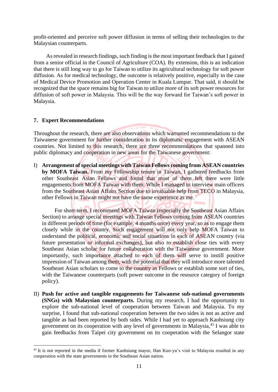profit-oriented and perceive soft power diffusion in terms of selling their technologies to the Malaysian counterparts.

 As revealed in research findings, such finding is the most important feedback that I gained from a senior official in the Council of Agriculture (COA). By extension, this is an indication that there is still long way to go for Taiwan to utilize its agricultural technology for soft power diffusion. As for medical technology, the outcome is relatively positive, especially in the case of Medical Device Promotion and Operation Center in Kuala Lumpur. That said, it should be recognized that the space remains big for Taiwan to utilize more of its soft power resources for diffusion of soft power in Malaysia. This will be the way forward for Taiwan's soft power in Malaysia.

## **7. Expert Recommendations**

Throughout the research, there are also observations which warranted recommendations to the Taiwanese government for further consideration in its diplomatic engagement with ASEAN countries. Not limited to this research, there are three recommendations that spanned into public diplomacy and cooperation in new areas for the Taiwanese government:

I) **Arrangement of special meetings with Taiwan Fellows coming from ASEAN countries by MOFA Taiwan.** From my Fellowship tenure in Taiwan, I gathered feedbacks from other Southeast Asian Fellows and found that most of them felt there were little engagements from MOFA Taiwan with them. While I managed to interview main officers from the Southeast Asian Affairs Section due to invaluable help from TECO in Malaysia, other Fellows in Taiwan might not have the same experience as me.

 For short-term, I recommend MOFA Taiwan (especially the Southeast Asian Affairs Section) to arrange special meetings with Taiwan Fellows coming from ASEAN countries in different periods of time (for example, 4 months once) every year, so as to engage them closely while in the country. Such engagement will not only help MOFA Taiwan to understand the political, economic and social situations in each of ASEAN country (via future presentation or informal exchanges), but also to establish close ties with every Southeast Asian scholar for future collaboration with the Taiwanese government. More importantly, such importance attached to each of them will serve to instill positive impression of Taiwan among them, with the potential that they will introduce more talented Southeast Asian scholars to come to the country as Fellows or establish some sort of ties, with the Taiwanese counterparts (soft power outcome in the resource category of foreign policy).

II) **Push for active and tangible engagements for Taiwanese sub-national governments (SNGs) with Malaysian counterparts.** During my research, I had the opportunity to explore the sub-national level of cooperation between Taiwan and Malaysia. To my surprise, I found that sub-national cooperation between the two sides is not as active and tangible as had been reported by both sides. While I had yet to approach Kaohsiung city government on its cooperation with any level of governments in Malaysia,<sup>41</sup> I was able to gain feedbacks from Taipei city government on its cooperation with the Selangor state

<sup>&</sup>lt;sup>41</sup> It is not reported in the media if former Kaohsiung mayor, Han Kuo-yu's visit to Malaysia resulted in any cooperation with the state governments in the Southeast Asian nation.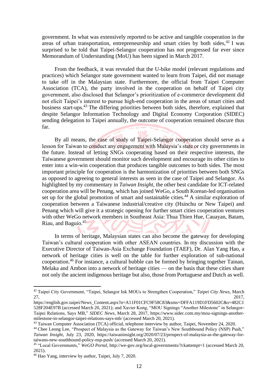government. In what was extensively reported to be active and tangible cooperation in the areas of urban transportation, entrepreneurship and smart cities by both sides, <sup>42</sup> I was surprised to be told that Taipei-Selangor cooperation has not progressed far ever since Memorandum of Understanding (MoU) has been signed in March 2017.

 From the feedback, it was revealed that the U-bike model (relevant regulations and practices) which Selangor state government wanted to learn from Taipei, did not manage to take off in the Malaysian state. Furthermore, the official from Taipei Computer Association (TCA), the party involved in the cooperation on behalf of Taipei city government, also disclosed that Selangor's prioritization of e-commerce development did not elicit Taipei's interest to pursue high-end cooperation in the areas of smart cities and business start-ups.<sup>43</sup> The differing priorities between both sides, therefore, explained that despite Selangor Information Technology and Digital Economy Corporation (SIDEC) sending delegation to Taipei annually, the outcome of cooperation remained obscure thus far.

 By all means, the case of study of Taipei-Selangor cooperation should serve as a lesson for Taiwan to conduct any engagement with Malaysia's state or city governments in the future. Instead of letting SNGs cooperating based on their respective interests, the Taiwanese government should monitor such development and encourage its other cities to enter into a win-win cooperation that produces tangible outcomes to both sides. The most important principle for cooperation is the harmonization of priorities between both SNGs as opposed to agreeing to general interests as seen in the case of Taipei and Selangor. As highlighted by my commentary in *Taiwan Insight*, the other best candidate for ICT-related cooperation area will be Penang, which has joined WeGo, a South Korean-led organisation set up for the global promotion of smart and sustainable cities.<sup>44</sup> A similar exploration of cooperation between a Taiwanese industrial/creative city (Hsinchu or New Taipei) and Penang which will give it a strategic opening for further smart cities cooperation ventures with other WeGo network members in Southeast Asia: Thua Thien Hue, Cauayan, Batam, Riau, and Baguio.<sup>45</sup>

 In terms of heritage, Malaysian states can also become the gateway for developing Taiwan's cultural cooperation with other ASEAN countries. In my discussion with the Executive Director of Taiwan-Asia Exchange Foundation (TAEF), Dr. Alan Yang Hao, a network of heritage cities is well on the table for further exploration of sub-national cooperation. <sup>46</sup> For instance, a cultural bubble can be formed by bringing together Tainan, Melaka and Ambon into a network of heritage cities — on the basis that these cities share not only the ancient indigenous heritage but also, those from Portuguese and Dutch as well.

<sup>42</sup> Taipei City Government, "Taipei, Selangor Ink MOUs to Strengthen Cooperation," *Taipei City News*, March 27, 2017,

https://english.gov.taipei/News\_Content.aspx?n=A11F01CFC9F58C83&sms=DFFA119D1FD5602C&s=482C1 528F204E97B (accessed March 20, 2021); and Xavier Kong, "MOU Signings "Another Milestone" in Selangor-Taipei Relations, Says MB," *SIDEC News*, March 28, 2017, https://www.sidec.com.my/mou-signings-anothermilestone-in-selangor-taipei-relations-says-mb/ (accessed March 20, 2021).

<sup>43</sup> Taiwan Computer Association (TCA) official, telephone interview by author, Taipei, November 24, 2020.

<sup>&</sup>lt;sup>44</sup> Chee Leong Lee, "Prospect of Malaysia as the Gateway for Taiwan's New Southbound Policy (NSP) Push," *Taiwan Insight*, July 23, 2020, [https://taiwaninsight.org/2020/07/23/prospect-of-malaysia-as-the-gateway-for](https://taiwaninsight.org/2020/07/23/prospect-of-malaysia-as-the-gateway-for-taiwans-new-southbound-policy-nsp-push/)[taiwans-new-southbound-policy-nsp-push/](https://taiwaninsight.org/2020/07/23/prospect-of-malaysia-as-the-gateway-for-taiwans-new-southbound-policy-nsp-push/) (accessed March 20, 2021).

<sup>45</sup> "Local Governments," *WeGO Portal*, http://we-gov.org/local-governments/?ckattempt=1 (accessed March 20, 2021).

<sup>46</sup> Hao Yang, interview by author, Taipei, July 7, 2020.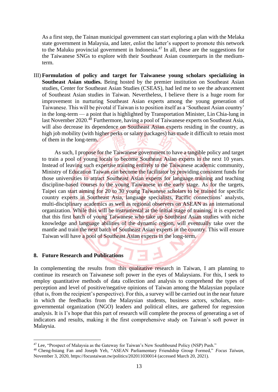As a first step, the Tainan municipal government can start exploring a plan with the Melaka state government in Malaysia, and later, enlist the latter's support to promote this network to the Maluku provincial government in Indonesia.<sup>47</sup> In all, these are the suggestions for the Taiwanese SNGs to explore with their Southeast Asian counterparts in the mediumterm.

III) **Formulation of policy and target for Taiwanese young scholars specializing in Southeast Asian studies.** Being hosted by the premier institution on Southeast Asian studies, Center for Southeast Asian Studies (CSEAS), had led me to see the advancement of Southeast Asian studies in Taiwan. Nevertheless, I believe there is a huge room for improvement in nurturing Southeast Asian experts among the young generation of Taiwanese. This will be pivotal if Taiwan is to position itself as a 'Southeast Asian country' in the long-term ⸺ a point that is highlighted by Transportation Minister, Lin Chia-lung in last November 2020.<sup>48</sup> Furthermore, having a pool of Taiwanese experts on Southeast Asia, will also decrease its dependence on Southeast Asian experts residing in the country, as high job mobility (with higher perks or salary packages) has made it difficult to retain most of them in the long-term.

 As such, I propose for the Taiwanese government to have a tangible policy and target to train a pool of young locals to become Southeast Asian experts in the next 10 years. Instead of leaving such expertise training entirely to the Taiwanese academic community, Ministry of Education Taiwan can become the facilitator by providing consistent funds for those universities to attract Southeast Asian experts for language training and teaching discipline-based courses to the young Taiwanese in the early stage. As for the targets, Taipei can start aiming for 20 to 30 young Taiwanese scholars to be trained for specific country experts in Southeast Asia, language specialists, Pacific connections' analysts, multi-disciplinary academics as well as regional observers on ASEAN as an international organization. While this will be instrumental at the initial stage of training, it is expected that this first batch of young Taiwanese who take up Southeast Asian studies with niche knowledge and language abilities of the dynamic region, will eventually take over the mantle and train the next batch of Southeast Asian experts in the country. This will ensure Taiwan will have a pool of Southeast Asian experts in the long-term.

7 E S

### **8. Future Research and Publications**

In complementing the results from this qualitative research in Taiwan, I am planning to continue its research on Taiwanese soft power in the eyes of Malaysians. For this, I seek to employ quantitative methods of data collection and analysis to comprehend the types of perception and level of positive/negative opinions of Taiwan among the Malaysian populace (that is, from the recipient's perspective). For this, a survey will be carried out in the near future in which the feedbacks from the Malaysian students, business actors, scholars, nongovernmental organization (NGO) leaders and political elites, are gathered for regression analysis. It is I's hope that this part of research will complete the process of generating a set of indicators and results, making it the first comprehensive study on Taiwan's soft power in Malaysia.

<sup>&</sup>lt;sup>47</sup> Lee, "Prospect of Malaysia as the Gateway for Taiwan's New Southbound Policy (NSP) Push."

<sup>48</sup> Cheng-hsiang Fan and Joseph Yeh, "ASEAN Parliamentary Friendship Group Formed," *Focus Taiwan*, November 3, 2020[, https://focustaiwan.tw/politics/202011030014](https://focustaiwan.tw/politics/202011030014) (accessed March 20, 2021).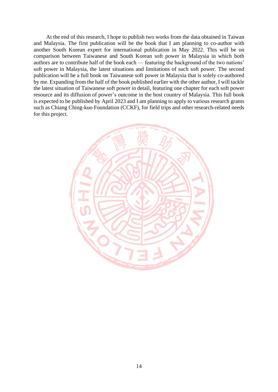At the end of this research, I hope to publish two works from the data obtained in Taiwan and Malaysia. The first publication will be the book that I am planning to co-author with another South Korean expert for international publication in May 2022. This will be on comparison between Taiwanese and South Korean soft power in Malaysia in which both authors are to contribute half of the book each — featuring the background of the two nations' soft power in Malaysia, the latest situations and limitations of such soft power. The second publication will be a full book on Taiwanese soft power in Malaysia that is solely co-authored by me. Expanding from the half of the book published earlier with the other author, I will tackle the latest situation of Taiwanese soft power in detail, featuring one chapter for each soft power resource and its diffusion of power's outcome in the host country of Malaysia. This full book is expected to be published by April 2023 and I am planning to apply to various research grants such as Chiang Ching-kuo Foundation (CCKF), for field trips and other research-related needs for this project.

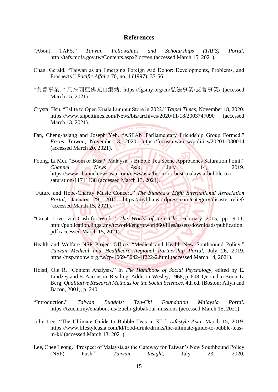### **References**

- "About TAFS." *Taiwan Fellowships and Scholarships (TAFS) Portal*. http://tafs.mofa.gov.tw/Contents.aspx?loc=en (accessed March 15, 2021).
- Chan, Gerald. "Taiwan as an Emerging Foreign Aid Donor: Developments, Problems, and Prospects." *Pacific Affairs* 70, no. 1 (1997): 37-56.
- "慈善事業." 馬來西亞佛光山網站. [https://fgsmy.org/cn/](https://fgsmy.org/cn/弘法事業/慈善事業/)弘法事業/慈善事業/ (accessed March 15, 2021).
- Crystal Hsu. "Eslite to Open Kuala Lumpur Store in 2022." *Taipei Times*, November 18, 2020. <https://www.taipeitimes.com/News/biz/archives/2020/11/18/2003747090> (accessed March 13, 2021).
- Fan, Cheng-hsiang and Joseph Yeh. "ASEAN Parliamentary Friendship Group Formed." *Focus Taiwan*, November 3, 2020. <https://focustaiwan.tw/politics/202011030014> (accessed March 20, 2021).
- Foong, Li Mei. "Boom or Bust?: Malaysia's Bubble Tea Scene Approaches Saturation Point." *Channel News Asia*, *Asia*, July 14, 2019. [https://www.channelnewsasia.com/news/asia/boom-or-bust-malaysia-bubble-tea](https://www.channelnewsasia.com/news/asia/boom-or-bust-malaysia-bubble-tea-saturation-11711138)[saturation-11711138](https://www.channelnewsasia.com/news/asia/boom-or-bust-malaysia-bubble-tea-saturation-11711138) (accessed March 13, 2021).
- "Future and Hope-Charity Music Concert." *The Buddha's Light International Association Portal*, January 29, 2015. <https://myblia.wordpress.com/category/disaster-relief/> (accessed March 15, 2021).
- "Great Love via Cash-for-Work." *The World of Tzu Chi*, February 2015, pp. 9-11. http://publication.jingsi.my/tcworld/eng/tcworld60/files/assets/downloads/publication. pdf (accessed March 15, 2021).
- Health and Welfare NSP Project Office. "Medical and Health New Southbound Policy." *Taiwan Medical and Healthcare Regional Partnership Portal*, July 26, 2019. <https://nsp.mohw.org.tw/cp-1069-5042-4f222-2.html> (accessed March 14, 2021).
- Holsti, Ole R. "Content Analysis." In *The Handbook of Social Psychology*, edited by E. Lindzey and E. Aaronson. Reading: Addison-Wesley, 1968, p. 608. Quoted in Bruce L. Berg, *Qualitative Research Methods for the Social Sciences*, 4th ed. (Boston: Allyn and Bacon, 2001), p. 240.
- "Introduction." *Taiwan Buddhist Tzu-Chi Foundation Malaysia Portal*. <https://tzuchi.my/en/about-us/tzuchi-global/our-missions> (accessed March 15, 2021).
- Jolin Lee. "The Ultimate Guide to Bubble Teas in KL." *Lifestyle Asia*, March 15, 2019. https://www.lifestyleasia.com/kl/food-drink/drinks/the-ultimate-guide-to-bubble-teasin-kl/ (accessed March 13, 2021).
- Lee, Chee Leong. "Prospect of Malaysia as the Gateway for Taiwan's New Southbound Policy (NSP) Push." *Taiwan Insight*, July 23, 2020.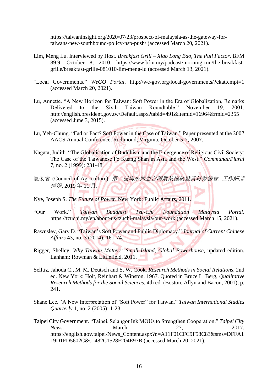[https://taiwaninsight.org/2020/07/23/prospect-of-malaysia-as-the-gateway-for](https://taiwaninsight.org/2020/07/23/prospect-of-malaysia-as-the-gateway-for-taiwans-new-southbound-policy-nsp-push/)[taiwans-new-southbound-policy-nsp-push/](https://taiwaninsight.org/2020/07/23/prospect-of-malaysia-as-the-gateway-for-taiwans-new-southbound-policy-nsp-push/) (accessed March 20, 2021).

- Lim, Meng Lu. Interviewed by Host. *Breakfast Grill – Xiao Long Bao, The Pull Factor*. BFM 89.9, October 8, 2010. [https://www.bfm.my/podcast/morning-run/the-breakfast](https://www.bfm.my/podcast/morning-run/the-breakfast-grille/breakfast-grille-081010-lim-meng-lu)[grille/breakfast-grille-081010-lim-meng-lu](https://www.bfm.my/podcast/morning-run/the-breakfast-grille/breakfast-grille-081010-lim-meng-lu) (accessed March 13, 2021).
- "Local Governments." *WeGO Portal*. http://we-gov.org/local-governments/?ckattempt=1 (accessed March 20, 2021).
- Lu, Annette. "A New Horizon for Taiwan: Soft Power in the Era of Globalization, Remarks Delivered to the Sixth Taiwan Roundtable." November 19, 2001. <http://english.president.gov.tw/Default.aspx?tabid=491&itemid=16964&rmid=2355> (accessed June 3, 2015).
- Lu, Yeh-Chung. "Fad or Fact? Soft Power in the Case of Taiwan." Paper presented at the 2007 AACS Annual Conference, Richmond, Virginia, October 5-7, 2007.
- Nagata, Judith. "The Globalisation of Buddhism and the Emergence of Religious Civil Society: The Case of the Taiwanese Fo Kuang Shan in Asia and the West." *Communal/Plural* 7, no. 2 (1999): 231-48.
- 農委會 (Council of Agriculture). 第一屆馬來西亞台灣農業機械暨資材發售會*:* 工作細部 情況, 2019 年 11 月.
- Nye, Joseph S. *The Future of Power*. New York: Public Affairs, 2011.
- "Our Work." *Taiwan Buddhist Tzu-Chi Foundation Malaysia Portal*. <https://tzuchi.my/en/about-us/tzuchi-malaysia/our-work> (accessed March 15, 2021).
- Rawnsley, Gary D. "Taiwan's Soft Power and Public Diplomacy." *Journal of Current Chinese Affairs* 43, no. 3 (2014): 161-74.
- Rigger, Shelley. *Why Taiwan Matters: Small Island, Global Powerhouse*, updated edition. Lanham: Rowman & Littlefield, 2011.
- Selltiz, Jahoda C., M. M. Deutsch and S. W. Cook. *Research Methods in Social Relations*, 2nd ed. New York: Holt, Reinhart & Winston, 1967. Quoted in Bruce L. Berg, *Qualitative Research Methods for the Social Sciences*, 4th ed. (Boston, Allyn and Bacon, 2001), p. 241.
- Shane Lee. "A New Interpretation of "Soft Power" for Taiwan." *Taiwan International Studies Quarterly* 1, no. 2 (2005): 1-23.
- Taipei City Government. "Taipei, Selangor Ink MOUs to Strengthen Cooperation." *Taipei City News.* March 27, 2017. https://english.gov.taipei/News\_Content.aspx?n=A11F01CFC9F58C83&sms=DFFA1 19D1FD5602C&s=482C1528F204E97B (accessed March 20, 2021).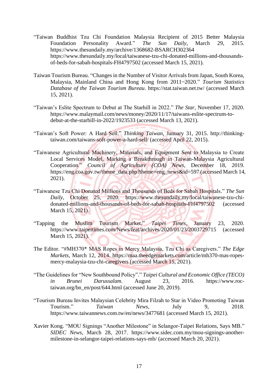- "Taiwan Buddhist Tzu Chi Foundation Malaysia Recipient of 2015 Better Malaysia Foundation Personality Award." *The Sun Daily*, March 29, 2015. <https://www.thesundaily.my/archive/1368682-BSARCH302364> [https://www.thesundaily.my/local/taiwanese-tzu-chi-donated-millions-and-thousands](https://www.thesundaily.my/local/taiwanese-tzu-chi-donated-millions-and-thousands-of-beds-for-sabah-hospitals-FH4797502)[of-beds-for-sabah-hospitals-FH4797502](https://www.thesundaily.my/local/taiwanese-tzu-chi-donated-millions-and-thousands-of-beds-for-sabah-hospitals-FH4797502) (accessed March 15, 2021).
- Taiwan Tourism Bureau. "Changes in the Number of Visitor Arrivals from Japan, South Korea, Malaysia, Mainland China and Hong Kong from 2011~2020." *Tourism Statistics Database of the Taiwan Tourism Bureau*. https://stat.taiwan.net.tw/ (accessed March 15, 2021).
- "Taiwan's Eslite Spectrum to Debut at The Starhill in 2022." *The Star*, November 17, 2020. https://www.malaymail.com/news/money/2020/11/17/taiwans-eslite-spectrum-todebut-at-the-starhill-in-2022/1923533 (accessed March 13, 2021).
- "Taiwan's Soft Power: A Hard Sell." *Thinking Taiwan*, January 31, 2015. http://thinkingtaiwan.com/taiwans-soft-power-a-hard-sell/ (accessed April 22, 2015).
- "Taiwanese Agricultural Machinery, Materials, and Equipment Sent to Malaysia to Create Local Services Model, Marking a Breakthrough in Taiwan-Malaysia Agricultural Cooperation." *Council of Agriculture (COA) News*, December 18, 2019. https://eng.coa.gov.tw/theme\_data.php?theme=eng\_news&id=597 (accessed March 14, 2021).
- "Taiwanese Tzu Chi Donated Millions and Thousands of Beds for Sabah Hospitals." *The Sun Daily*, October 25, 2020. [https://www.thesundaily.my/local/taiwanese-tzu-chi](https://www.thesundaily.my/local/taiwanese-tzu-chi-donated-millions-and-thousands-of-beds-for-sabah-hospitals-FH4797502)[donated-millions-and-thousands-of-beds-for-sabah-hospitals-FH4797502](https://www.thesundaily.my/local/taiwanese-tzu-chi-donated-millions-and-thousands-of-beds-for-sabah-hospitals-FH4797502) (accessed March 15, 2021).
- "Tapping the Muslim Tourism Market." *Taipei Times*, January 23, 2020. <https://www.taipeitimes.com/News/feat/archives/2020/01/23/2003729715> (accessed March 15, 2021).
- The Editor. "#MH370\* MAS Ropes in Mercy Malaysia, Tzu Chi as Caregivers." *The Edge Markets*, March 12, 2014. [https://maa.theedgemarkets.com/article/mh370-mas-ropes](https://maa.theedgemarkets.com/article/mh370-mas-ropes-mercy-malaysia-tzu-chi-caregivers)[mercy-malaysia-tzu-chi-caregivers](https://maa.theedgemarkets.com/article/mh370-mas-ropes-mercy-malaysia-tzu-chi-caregivers) (accessed March 15, 2021).
- "The Guidelines for "New Southbound Policy"." *Taipei Cultural and Economic Office (TECO) in Brunei Darussalam*. August 23, 2016. [https://www.roc](https://www.roc-taiwan.org/bn_en/post/644.html)[taiwan.org/bn\\_en/post/644.html](https://www.roc-taiwan.org/bn_en/post/644.html) (accessed June 20, 2019).
- "Tourism Bureau Invites Malaysian Celebrity Mira Filzah to Star in Video Promoting Taiwan Tourism." *Taiwan News*, July 9, 2018. <https://www.taiwannews.com.tw/en/news/3477681> (accessed March 15, 2021).
- Xavier Kong. "MOU Signings "Another Milestone" in Selangor-Taipei Relations, Says MB." *SIDEC News*, March 28, 2017. https://www.sidec.com.my/mou-signings-anothermilestone-in-selangor-taipei-relations-says-mb/ (accessed March 20, 2021).